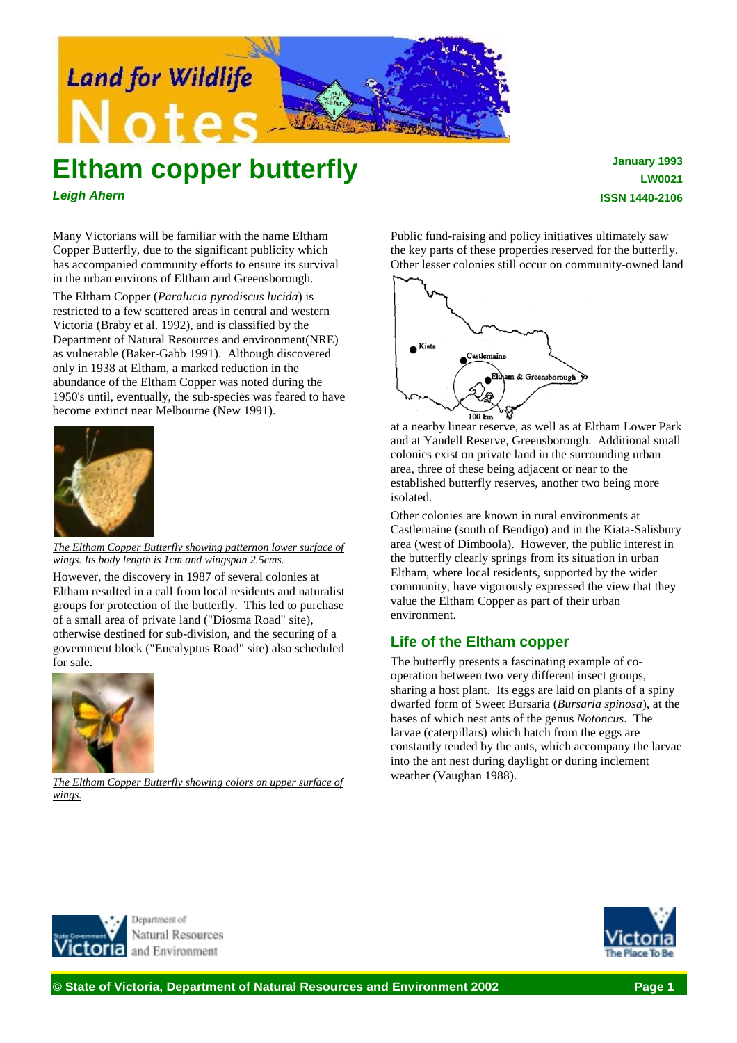

# **Eltham copper butterfly**

*Leigh Ahern*

**January 1993 LW0021 ISSN 1440-2106**

Many Victorians will be familiar with the name Eltham Copper Butterfly, due to the significant publicity which has accompanied community efforts to ensure its survival in the urban environs of Eltham and Greensborough.

The Eltham Copper (*Paralucia pyrodiscus lucida*) is restricted to a few scattered areas in central and western Victoria (Braby et al. 1992), and is classified by the Department of Natural Resources and environment(NRE) as vulnerable (Baker-Gabb 1991). Although discovered only in 1938 at Eltham, a marked reduction in the abundance of the Eltham Copper was noted during the 1950's until, eventually, the sub-species was feared to have become extinct near Melbourne (New 1991).



*The Eltham Copper Butterfly showing patternon lower surface of wings. Its body length is 1cm and wingspan 2.5cms.*

However, the discovery in 1987 of several colonies at Eltham resulted in a call from local residents and naturalist groups for protection of the butterfly. This led to purchase of a small area of private land ("Diosma Road" site), otherwise destined for sub-division, and the securing of a government block ("Eucalyptus Road" site) also scheduled for sale.



*The Eltham Copper Butterfly showing colors on upper surface of wings.*

Public fund-raising and policy initiatives ultimately saw the key parts of these properties reserved for the butterfly. Other lesser colonies still occur on community-owned land



at a nearby linear reserve, as well as at Eltham Lower Park and at Yandell Reserve, Greensborough. Additional small colonies exist on private land in the surrounding urban area, three of these being adjacent or near to the established butterfly reserves, another two being more isolated.

Other colonies are known in rural environments at Castlemaine (south of Bendigo) and in the Kiata-Salisbury area (west of Dimboola). However, the public interest in the butterfly clearly springs from its situation in urban Eltham, where local residents, supported by the wider community, have vigorously expressed the view that they value the Eltham Copper as part of their urban environment.

## **Life of the Eltham copper**

The butterfly presents a fascinating example of cooperation between two very different insect groups, sharing a host plant. Its eggs are laid on plants of a spiny dwarfed form of Sweet Bursaria (*Bursaria spinosa*), at the bases of which nest ants of the genus *Notoncus*. The larvae (caterpillars) which hatch from the eggs are constantly tended by the ants, which accompany the larvae into the ant nest during daylight or during inclement weather (Vaughan 1988).



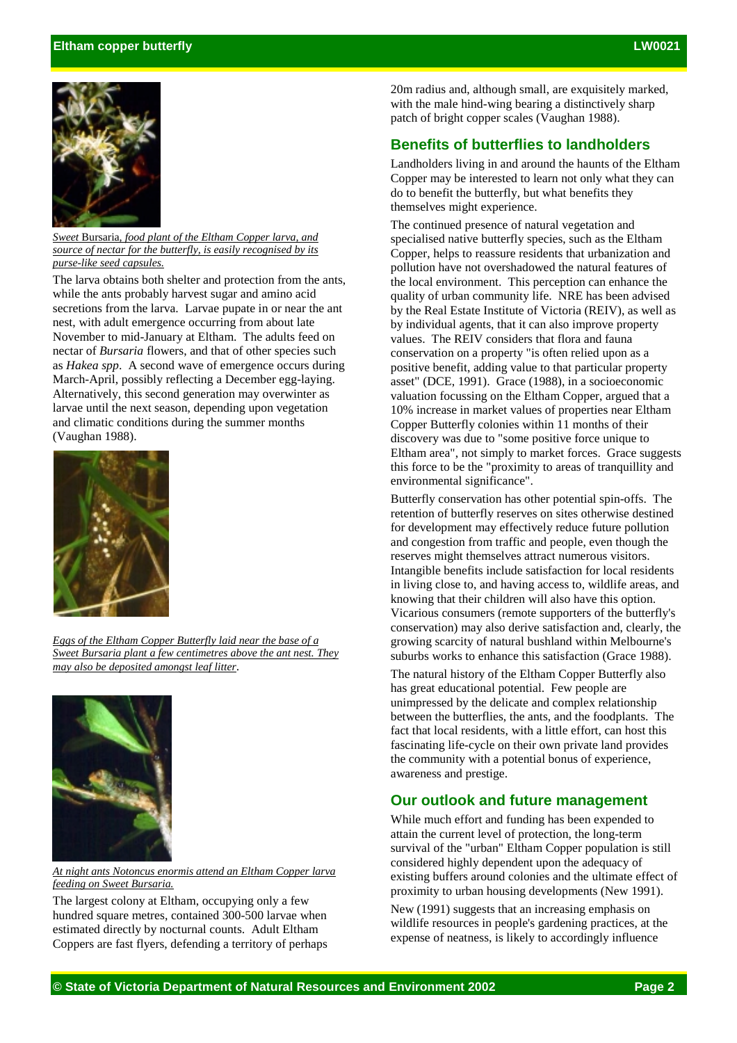

*Sweet* Bursaria*, food plant of the Eltham Copper larva, and source of nectar for the butterfly, is easily recognised by its purse-like seed capsules.*

The larva obtains both shelter and protection from the ants, while the ants probably harvest sugar and amino acid secretions from the larva. Larvae pupate in or near the ant nest, with adult emergence occurring from about late November to mid-January at Eltham. The adults feed on nectar of *Bursaria* flowers, and that of other species such as *Hakea spp*. A second wave of emergence occurs during March-April, possibly reflecting a December egg-laying. Alternatively, this second generation may overwinter as larvae until the next season, depending upon vegetation and climatic conditions during the summer months (Vaughan 1988).



*Eggs of the Eltham Copper Butterfly laid near the base of a Sweet Bursaria plant a few centimetres above the ant nest. They may also be deposited amongst leaf litter*.



*At night ants Notoncus enormis attend an Eltham Copper larva feeding on Sweet Bursaria.*

The largest colony at Eltham, occupying only a few hundred square metres, contained 300-500 larvae when estimated directly by nocturnal counts. Adult Eltham Coppers are fast flyers, defending a territory of perhaps

20m radius and, although small, are exquisitely marked, with the male hind-wing bearing a distinctively sharp patch of bright copper scales (Vaughan 1988).

### **Benefits of butterflies to landholders**

Landholders living in and around the haunts of the Eltham Copper may be interested to learn not only what they can do to benefit the butterfly, but what benefits they themselves might experience.

The continued presence of natural vegetation and specialised native butterfly species, such as the Eltham Copper, helps to reassure residents that urbanization and pollution have not overshadowed the natural features of the local environment. This perception can enhance the quality of urban community life. NRE has been advised by the Real Estate Institute of Victoria (REIV), as well as by individual agents, that it can also improve property values. The REIV considers that flora and fauna conservation on a property "is often relied upon as a positive benefit, adding value to that particular property asset" (DCE, 1991). Grace (1988), in a socioeconomic valuation focussing on the Eltham Copper, argued that a 10% increase in market values of properties near Eltham Copper Butterfly colonies within 11 months of their discovery was due to "some positive force unique to Eltham area", not simply to market forces. Grace suggests this force to be the "proximity to areas of tranquillity and environmental significance".

Butterfly conservation has other potential spin-offs. The retention of butterfly reserves on sites otherwise destined for development may effectively reduce future pollution and congestion from traffic and people, even though the reserves might themselves attract numerous visitors. Intangible benefits include satisfaction for local residents in living close to, and having access to, wildlife areas, and knowing that their children will also have this option. Vicarious consumers (remote supporters of the butterfly's conservation) may also derive satisfaction and, clearly, the growing scarcity of natural bushland within Melbourne's suburbs works to enhance this satisfaction (Grace 1988).

The natural history of the Eltham Copper Butterfly also has great educational potential. Few people are unimpressed by the delicate and complex relationship between the butterflies, the ants, and the foodplants. The fact that local residents, with a little effort, can host this fascinating life-cycle on their own private land provides the community with a potential bonus of experience, awareness and prestige.

#### **Our outlook and future management**

While much effort and funding has been expended to attain the current level of protection, the long-term survival of the "urban" Eltham Copper population is still considered highly dependent upon the adequacy of existing buffers around colonies and the ultimate effect of proximity to urban housing developments (New 1991).

New (1991) suggests that an increasing emphasis on wildlife resources in people's gardening practices, at the expense of neatness, is likely to accordingly influence